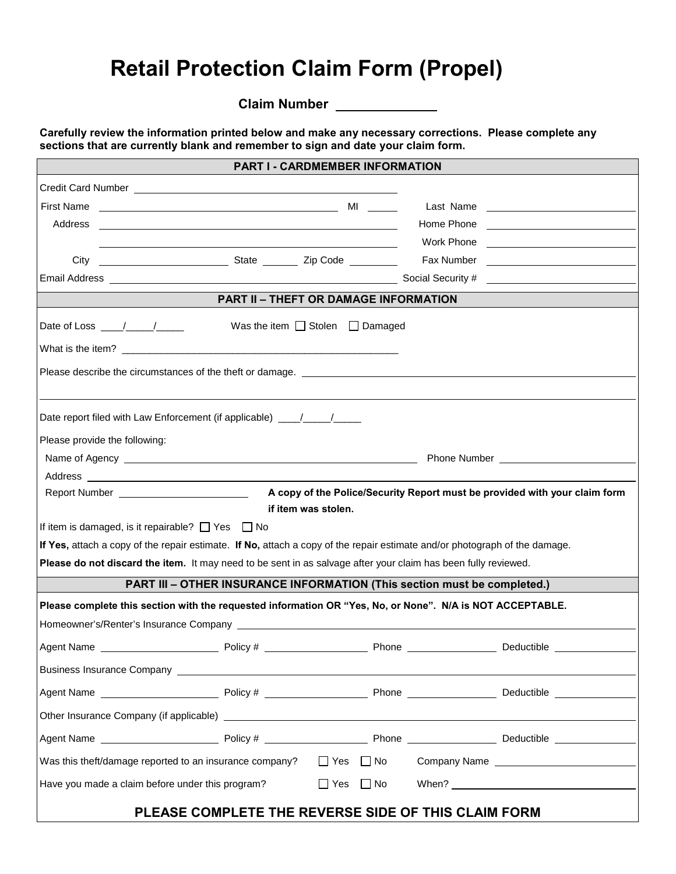## **Retail Protection Claim Form (Propel)**

**Claim Number** 

**Carefully review the information printed below and make any necessary corrections. Please complete any sections that are currently blank and remember to sign and date your claim form.**

|                                                  |                                                                                                                                                                                                                                | <b>PART I - CARDMEMBER INFORMATION</b>    |                     |  |  |                                                                            |
|--------------------------------------------------|--------------------------------------------------------------------------------------------------------------------------------------------------------------------------------------------------------------------------------|-------------------------------------------|---------------------|--|--|----------------------------------------------------------------------------|
|                                                  |                                                                                                                                                                                                                                |                                           |                     |  |  |                                                                            |
|                                                  |                                                                                                                                                                                                                                |                                           |                     |  |  |                                                                            |
|                                                  |                                                                                                                                                                                                                                |                                           |                     |  |  |                                                                            |
|                                                  |                                                                                                                                                                                                                                |                                           |                     |  |  |                                                                            |
|                                                  |                                                                                                                                                                                                                                |                                           |                     |  |  |                                                                            |
|                                                  |                                                                                                                                                                                                                                |                                           |                     |  |  |                                                                            |
|                                                  |                                                                                                                                                                                                                                | PART II - THEFT OR DAMAGE INFORMATION     |                     |  |  |                                                                            |
|                                                  | Date of Loss $\frac{1}{\sqrt{1-\frac{1}{2}}}\$                                                                                                                                                                                 | Was the item $\Box$ Stolen $\Box$ Damaged |                     |  |  |                                                                            |
|                                                  |                                                                                                                                                                                                                                |                                           |                     |  |  |                                                                            |
|                                                  |                                                                                                                                                                                                                                |                                           |                     |  |  |                                                                            |
|                                                  | Date report filed with Law Enforcement (if applicable) ___/___/____                                                                                                                                                            |                                           |                     |  |  |                                                                            |
|                                                  | Please provide the following:                                                                                                                                                                                                  |                                           |                     |  |  |                                                                            |
|                                                  |                                                                                                                                                                                                                                |                                           |                     |  |  |                                                                            |
|                                                  |                                                                                                                                                                                                                                |                                           |                     |  |  |                                                                            |
|                                                  |                                                                                                                                                                                                                                |                                           |                     |  |  | A copy of the Police/Security Report must be provided with your claim form |
|                                                  |                                                                                                                                                                                                                                |                                           | if item was stolen. |  |  |                                                                            |
|                                                  | If item is damaged, is it repairable? $\Box$ Yes $\Box$ No<br>If Yes, attach a copy of the repair estimate. If No, attach a copy of the repair estimate and/or photograph of the damage.                                       |                                           |                     |  |  |                                                                            |
|                                                  | Please do not discard the item. It may need to be sent in as salvage after your claim has been fully reviewed.                                                                                                                 |                                           |                     |  |  |                                                                            |
|                                                  | <b>PART III - OTHER INSURANCE INFORMATION (This section must be completed.)</b>                                                                                                                                                |                                           |                     |  |  |                                                                            |
|                                                  |                                                                                                                                                                                                                                |                                           |                     |  |  |                                                                            |
|                                                  | Please complete this section with the requested information OR "Yes, No, or None". N/A is NOT ACCEPTABLE.                                                                                                                      |                                           |                     |  |  |                                                                            |
|                                                  |                                                                                                                                                                                                                                |                                           |                     |  |  |                                                                            |
|                                                  |                                                                                                                                                                                                                                |                                           |                     |  |  |                                                                            |
|                                                  | Business Insurance Company and the state of the state of the state of the state of the state of the state of the state of the state of the state of the state of the state of the state of the state of the state of the state |                                           |                     |  |  |                                                                            |
|                                                  |                                                                                                                                                                                                                                |                                           |                     |  |  |                                                                            |
|                                                  |                                                                                                                                                                                                                                |                                           |                     |  |  |                                                                            |
|                                                  |                                                                                                                                                                                                                                |                                           |                     |  |  |                                                                            |
|                                                  | Was this theft/damage reported to an insurance company?                                                                                                                                                                        |                                           |                     |  |  | □ Yes □ No Company Name <u>_____________________</u>                       |
| Have you made a claim before under this program? |                                                                                                                                                                                                                                |                                           |                     |  |  | $\Box$ Yes $\Box$ No When? $\Box$ Yes $\Box$ No When?                      |
|                                                  |                                                                                                                                                                                                                                |                                           |                     |  |  |                                                                            |